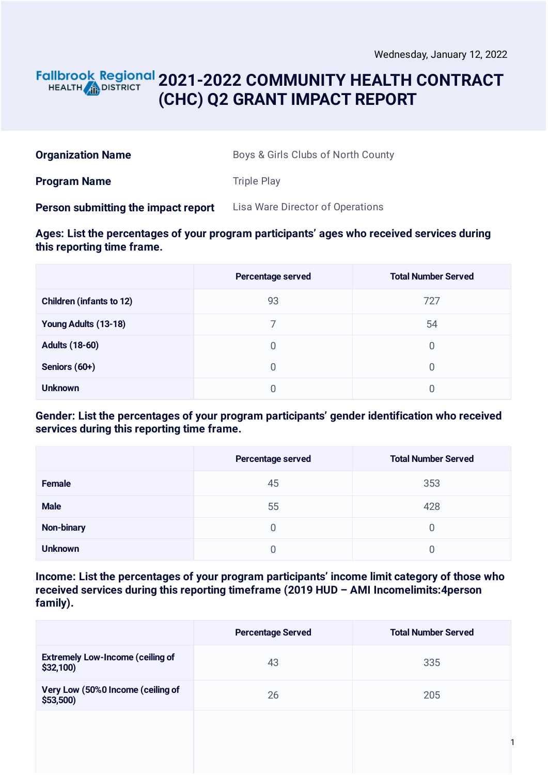#### **2021-2022 COMMUNITY HEALTH CONTRACT** HEALTH **in DISTRICT (CHC) Q2 GRANT IMPACT REPORT**

| <b>Organization Name</b> | Boys & Girls Clubs of North County |
|--------------------------|------------------------------------|
|--------------------------|------------------------------------|

**Program Name** Triple Play

**Person submitting the impact report** Lisa Ware Director of Operations

#### **Ages: List the percentages of your program participants' ages who received services during this reporting time frame.**

|                                 | Percentage served | <b>Total Number Served</b> |
|---------------------------------|-------------------|----------------------------|
| <b>Children (infants to 12)</b> | 93                | 727                        |
| Young Adults (13-18)            |                   | 54                         |
| <b>Adults (18-60)</b>           | 0                 | 0                          |
| Seniors (60+)                   | 0                 | 0                          |
| <b>Unknown</b>                  |                   |                            |

#### **Gender: List the percentages of your program participants' gender identification who received services during this reporting time frame.**

|                   | Percentage served | <b>Total Number Served</b> |
|-------------------|-------------------|----------------------------|
| Female            | 45                | 353                        |
| <b>Male</b>       | 55                | 428                        |
| <b>Non-binary</b> | 0                 | 0                          |
| <b>Unknown</b>    |                   |                            |

**Income: List the percentages of your program participants' income limit category of those who received services during this reporting timeframe (2019 HUD – AMI Incomelimits:4person family).**

|                                                     | <b>Percentage Served</b> | <b>Total Number Served</b> |
|-----------------------------------------------------|--------------------------|----------------------------|
| <b>Extremely Low-Income (ceiling of</b><br>\$32,100 | 43                       | 335                        |
| Very Low (50%0 Income (ceiling of<br>\$53,500)      | 26                       | 205                        |
|                                                     |                          |                            |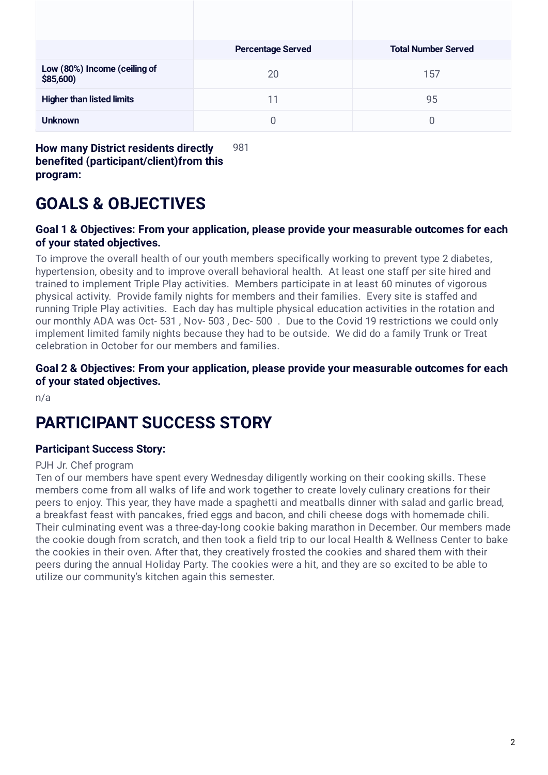|                                           | <b>Percentage Served</b> | <b>Total Number Served</b> |
|-------------------------------------------|--------------------------|----------------------------|
| Low (80%) Income (ceiling of<br>\$85,600) | 20                       | 157                        |
| <b>Higher than listed limits</b>          | 11                       | 95                         |
| <b>Unknown</b>                            | 0                        | 0                          |

**How many District residents directly benefited (participant/client)from this program:** 981

# **GOALS & OBJECTIVES**

#### **Goal 1 & Objectives: From your application, please provide your measurable outcomes for each of your stated objectives.**

To improve the overall health of our youth members specifically working to prevent type 2 diabetes, hypertension, obesity and to improve overall behavioral health. At least one staff per site hired and trained to implement Triple Play activities. Members participate in at least 60 minutes of vigorous physical activity. Provide family nights for members and their families. Every site is staffed and running Triple Play activities. Each day has multiple physical education activities in the rotation and our monthly ADA was Oct- 531 , Nov- 503 , Dec- 500 . Due to the Covid 19 restrictions we could only implement limited family nights because they had to be outside. We did do a family Trunk or Treat celebration in October for our members and families.

**Goal 2 & Objectives: From your application, please provide your measurable outcomes for each of your stated objectives.**

n/a

## **PARTICIPANT SUCCESS STORY**

#### **Participant Success Story:**

#### PJH Jr. Chef program

Ten of our members have spent every Wednesday diligently working on their cooking skills. These members come from all walks of life and work together to create lovely culinary creations for their peers to enjoy. This year, they have made a spaghetti and meatballs dinner with salad and garlic bread, a breakfast feast with pancakes, fried eggs and bacon, and chili cheese dogs with homemade chili. Their culminating event was a three-day-long cookie baking marathon in December. Our members made the cookie dough from scratch, and then took a field trip to our local Health & Wellness Center to bake the cookies in their oven. After that, they creatively frosted the cookies and shared them with their peers during the annual Holiday Party. The cookies were a hit, and they are so excited to be able to utilize our community's kitchen again this semester.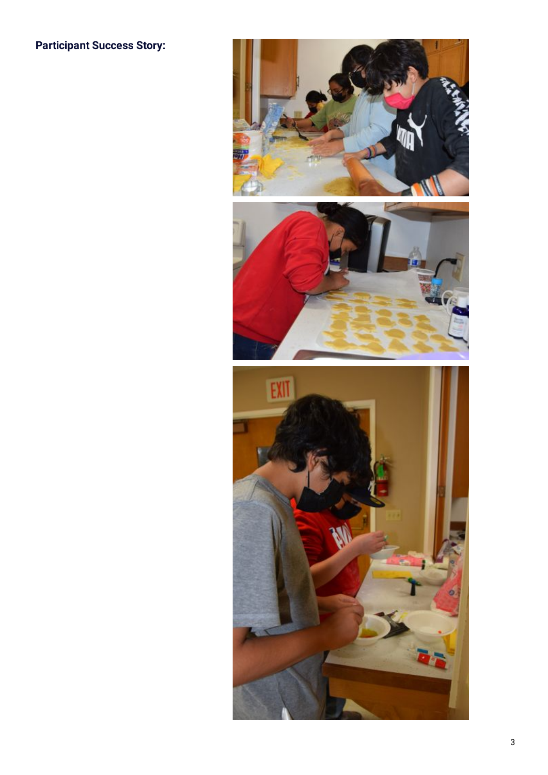### **Participant Success Story:**